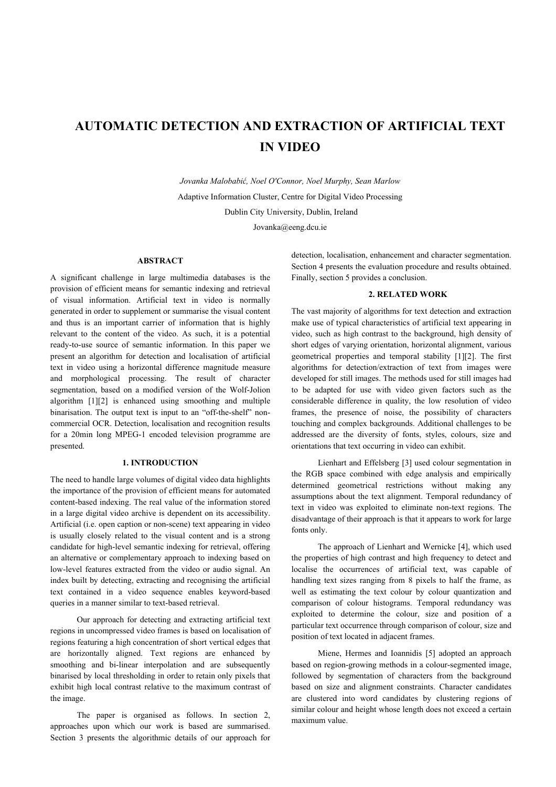# **AUTOMATIC DETECTION AND EXTRACTION OF ARTIFICIAL TEXT IN VIDEO**

*Jovanka Malobabić, Noel O'Connor, Noel Murphy, Sean Marlow*  Adaptive Information Cluster, Centre for Digital Video Processing Dublin City University, Dublin, Ireland

Jovanka@eeng.dcu.ie

# **ABSTRACT**

A significant challenge in large multimedia databases is the provision of efficient means for semantic indexing and retrieval of visual information. Artificial text in video is normally generated in order to supplement or summarise the visual content and thus is an important carrier of information that is highly relevant to the content of the video. As such, it is a potential ready-to-use source of semantic information. In this paper we present an algorithm for detection and localisation of artificial text in video using a horizontal difference magnitude measure and morphological processing. The result of character segmentation, based on a modified version of the Wolf-Jolion algorithm [1][2] is enhanced using smoothing and multiple binarisation. The output text is input to an "off-the-shelf" noncommercial OCR. Detection, localisation and recognition results for a 20min long MPEG-1 encoded television programme are presented.

# **1. INTRODUCTION**

The need to handle large volumes of digital video data highlights the importance of the provision of efficient means for automated content-based indexing. The real value of the information stored in a large digital video archive is dependent on its accessibility. Artificial (i.e. open caption or non-scene) text appearing in video is usually closely related to the visual content and is a strong candidate for high-level semantic indexing for retrieval, offering an alternative or complementary approach to indexing based on low-level features extracted from the video or audio signal. An index built by detecting, extracting and recognising the artificial text contained in a video sequence enables keyword-based queries in a manner similar to text-based retrieval.

Our approach for detecting and extracting artificial text regions in uncompressed video frames is based on localisation of regions featuring a high concentration of short vertical edges that are horizontally aligned. Text regions are enhanced by smoothing and bi-linear interpolation and are subsequently binarised by local thresholding in order to retain only pixels that exhibit high local contrast relative to the maximum contrast of the image.

The paper is organised as follows. In section 2, approaches upon which our work is based are summarised. Section 3 presents the algorithmic details of our approach for detection, localisation, enhancement and character segmentation. Section 4 presents the evaluation procedure and results obtained. Finally, section 5 provides a conclusion.

# **2. RELATED WORK**

The vast majority of algorithms for text detection and extraction make use of typical characteristics of artificial text appearing in video, such as high contrast to the background, high density of short edges of varying orientation, horizontal alignment, various geometrical properties and temporal stability [1][2]. The first algorithms for detection/extraction of text from images were developed for still images. The methods used for still images had to be adapted for use with video given factors such as the considerable difference in quality, the low resolution of video frames, the presence of noise, the possibility of characters touching and complex backgrounds. Additional challenges to be addressed are the diversity of fonts, styles, colours, size and orientations that text occurring in video can exhibit.

Lienhart and Effelsberg [3] used colour segmentation in the RGB space combined with edge analysis and empirically determined geometrical restrictions without making any assumptions about the text alignment. Temporal redundancy of text in video was exploited to eliminate non-text regions. The disadvantage of their approach is that it appears to work for large fonts only.

The approach of Lienhart and Wernicke [4], which used the properties of high contrast and high frequency to detect and localise the occurrences of artificial text, was capable of handling text sizes ranging from 8 pixels to half the frame, as well as estimating the text colour by colour quantization and comparison of colour histograms. Temporal redundancy was exploited to determine the colour, size and position of a particular text occurrence through comparison of colour, size and position of text located in adjacent frames.

Miene, Hermes and Ioannidis [5] adopted an approach based on region-growing methods in a colour-segmented image, followed by segmentation of characters from the background based on size and alignment constraints. Character candidates are clustered into word candidates by clustering regions of similar colour and height whose length does not exceed a certain maximum value.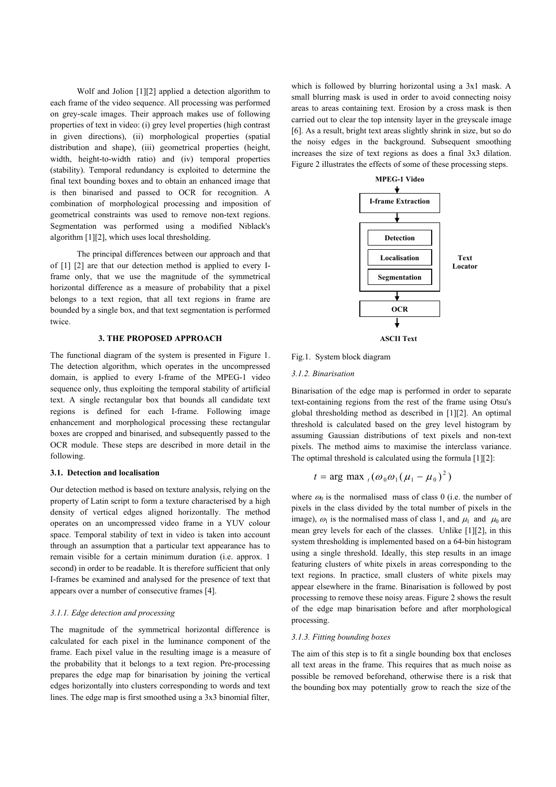Wolf and Jolion [1][2] applied a detection algorithm to each frame of the video sequence. All processing was performed on grey-scale images. Their approach makes use of following properties of text in video: (i) grey level properties (high contrast in given directions), (ii) morphological properties (spatial distribution and shape), (iii) geometrical properties (height, width, height-to-width ratio) and (iv) temporal properties (stability). Temporal redundancy is exploited to determine the final text bounding boxes and to obtain an enhanced image that is then binarised and passed to OCR for recognition. A combination of morphological processing and imposition of geometrical constraints was used to remove non-text regions. Segmentation was performed using a modified Niblack's algorithm [1][2], which uses local thresholding.

The principal differences between our approach and that of [1] [2] are that our detection method is applied to every Iframe only, that we use the magnitude of the symmetrical horizontal difference as a measure of probability that a pixel belongs to a text region, that all text regions in frame are bounded by a single box, and that text segmentation is performed twice.

#### **3. THE PROPOSED APPROACH**

The functional diagram of the system is presented in Figure 1. The detection algorithm, which operates in the uncompressed domain, is applied to every I-frame of the MPEG-1 video sequence only, thus exploiting the temporal stability of artificial text. A single rectangular box that bounds all candidate text regions is defined for each I-frame. Following image enhancement and morphological processing these rectangular boxes are cropped and binarised, and subsequently passed to the OCR module. These steps are described in more detail in the following.

## **3.1. Detection and localisation**

Our detection method is based on texture analysis, relying on the property of Latin script to form a texture characterised by a high density of vertical edges aligned horizontally. The method operates on an uncompressed video frame in a YUV colour space. Temporal stability of text in video is taken into account through an assumption that a particular text appearance has to remain visible for a certain minimum duration (i.e. approx. 1 second) in order to be readable. It is therefore sufficient that only I-frames be examined and analysed for the presence of text that appears over a number of consecutive frames [4].

#### *3.1.1. Edge detection and processing*

The magnitude of the symmetrical horizontal difference is calculated for each pixel in the luminance component of the frame. Each pixel value in the resulting image is a measure of the probability that it belongs to a text region. Pre-processing prepares the edge map for binarisation by joining the vertical edges horizontally into clusters corresponding to words and text lines. The edge map is first smoothed using a 3x3 binomial filter,

which is followed by blurring horizontal using a 3x1 mask. A small blurring mask is used in order to avoid connecting noisy areas to areas containing text. Erosion by a cross mask is then carried out to clear the top intensity layer in the greyscale image [6]. As a result, bright text areas slightly shrink in size, but so do the noisy edges in the background. Subsequent smoothing increases the size of text regions as does a final 3x3 dilation. Figure 2 illustrates the effects of some of these processing steps.



#### Fig.1. System block diagram

#### *3.1.2. Binarisation*

Binarisation of the edge map is performed in order to separate text-containing regions from the rest of the frame using Otsu's global thresholding method as described in [1][2]. An optimal threshold is calculated based on the grey level histogram by assuming Gaussian distributions of text pixels and non-text pixels. The method aims to maximise the interclass variance. The optimal threshold is calculated using the formula [1][2]:

$$
t = \arg \max_{t} (\omega_0 \omega_1 (\mu_1 - \mu_0)^2)
$$

where  $\omega_0$  is the normalised mass of class 0 (i.e. the number of pixels in the class divided by the total number of pixels in the image),  $\omega_1$  is the normalised mass of class 1, and  $\mu_1$  and  $\mu_0$  are mean grey levels for each of the classes. Unlike [1][2], in this system thresholding is implemented based on a 64-bin histogram using a single threshold. Ideally, this step results in an image featuring clusters of white pixels in areas corresponding to the text regions. In practice, small clusters of white pixels may appear elsewhere in the frame. Binarisation is followed by post processing to remove these noisy areas. Figure 2 shows the result of the edge map binarisation before and after morphological processing.

#### *3.1.3. Fitting bounding boxes*

The aim of this step is to fit a single bounding box that encloses all text areas in the frame. This requires that as much noise as possible be removed beforehand, otherwise there is a risk that the bounding box may potentially grow to reach the size of the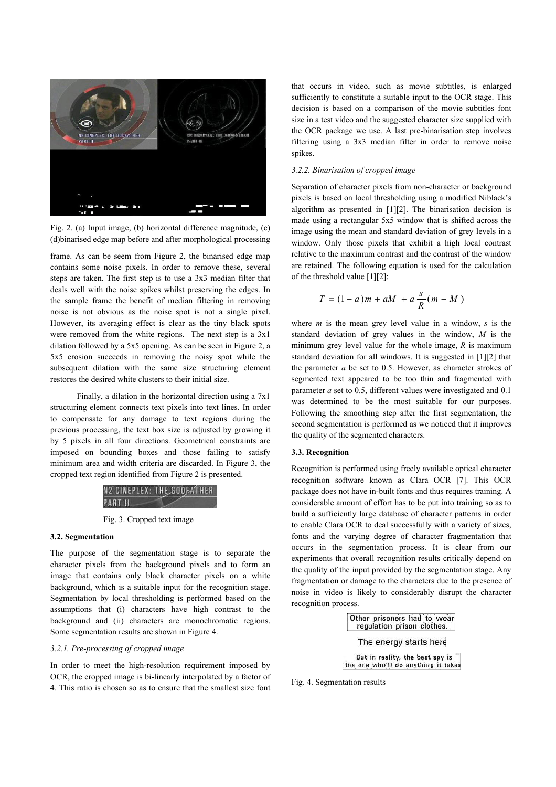

Fig. 2. (a) Input image, (b) horizontal difference magnitude, (c) (d)binarised edge map before and after morphological processing

frame. As can be seem from Figure 2, the binarised edge map contains some noise pixels. In order to remove these, several steps are taken. The first step is to use a 3x3 median filter that deals well with the noise spikes whilst preserving the edges. In the sample frame the benefit of median filtering in removing noise is not obvious as the noise spot is not a single pixel. However, its averaging effect is clear as the tiny black spots were removed from the white regions. The next step is a 3x1 dilation followed by a 5x5 opening. As can be seen in Figure 2, a 5x5 erosion succeeds in removing the noisy spot while the subsequent dilation with the same size structuring element restores the desired white clusters to their initial size.

Finally, a dilation in the horizontal direction using a 7x1 structuring element connects text pixels into text lines. In order to compensate for any damage to text regions during the previous processing, the text box size is adjusted by growing it by 5 pixels in all four directions. Geometrical constraints are imposed on bounding boxes and those failing to satisfy minimum area and width criteria are discarded. In Figure 3, the cropped text region identified from Figure 2 is presented.



Fig. 3. Cropped text image

## **3.2. Segmentation**

The purpose of the segmentation stage is to separate the character pixels from the background pixels and to form an image that contains only black character pixels on a white background, which is a suitable input for the recognition stage. Segmentation by local thresholding is performed based on the assumptions that (i) characters have high contrast to the background and (ii) characters are monochromatic regions. Some segmentation results are shown in Figure 4.

## *3.2.1. Pre-processing of cropped image*

In order to meet the high-resolution requirement imposed by OCR, the cropped image is bi-linearly interpolated by a factor of 4. This ratio is chosen so as to ensure that the smallest size font that occurs in video, such as movie subtitles, is enlarged sufficiently to constitute a suitable input to the OCR stage. This decision is based on a comparison of the movie subtitles font size in a test video and the suggested character size supplied with the OCR package we use. A last pre-binarisation step involves filtering using a 3x3 median filter in order to remove noise spikes.

## *3.2.2. Binarisation of cropped image*

Separation of character pixels from non-character or background pixels is based on local thresholding using a modified Niblack's algorithm as presented in [1][2]. The binarisation decision is made using a rectangular 5x5 window that is shifted across the image using the mean and standard deviation of grey levels in a window. Only those pixels that exhibit a high local contrast relative to the maximum contrast and the contrast of the window are retained. The following equation is used for the calculation of the threshold value [1][2]:

$$
T = (1 - a)m + aM + a\frac{s}{R}(m - M)
$$

where *m* is the mean grey level value in a window, *s* is the standard deviation of grey values in the window, *M* is the minimum grey level value for the whole image, *R* is maximum standard deviation for all windows. It is suggested in [1][2] that the parameter *a* be set to 0.5. However, as character strokes of segmented text appeared to be too thin and fragmented with parameter *a* set to 0.5, different values were investigated and 0.1 was determined to be the most suitable for our purposes. Following the smoothing step after the first segmentation, the second segmentation is performed as we noticed that it improves the quality of the segmented characters.

#### **3.3. Recognition**

Recognition is performed using freely available optical character recognition software known as Clara OCR [7]. This OCR package does not have in-built fonts and thus requires training. A considerable amount of effort has to be put into training so as to build a sufficiently large database of character patterns in order to enable Clara OCR to deal successfully with a variety of sizes, fonts and the varying degree of character fragmentation that occurs in the segmentation process. It is clear from our experiments that overall recognition results critically depend on the quality of the input provided by the segmentation stage. Any fragmentation or damage to the characters due to the presence of noise in video is likely to considerably disrupt the character recognition process.

> Other prisoners had to wear regulation prison clothes. The energy starts here But in reality, the best spy is the one who'll do anything it takes

Fig. 4. Segmentation results